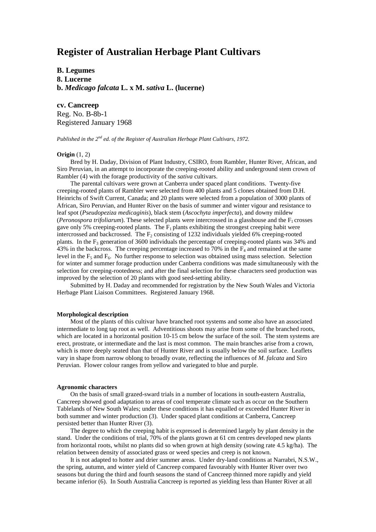# **Register of Australian Herbage Plant Cultivars**

**B. Legumes 8. Lucerne b.** *Medicago falcata* **L. x M.** *sativa* **L. (lucerne)**

**cv. Cancreep** Reg. No. B-8b-1 Registered January 1968

*Published in the 2nd ed. of the Register of Australian Herbage Plant Cultivars, 1972.*

### **Origin** (1, 2)

Bred by H. Daday, Division of Plant Industry, CSIRO, from Rambler, Hunter River, African, and Siro Peruvian, in an attempt to incorporate the creeping-rooted ability and underground stem crown of Rambler (4) with the forage productivity of the *sativa* cultivars.

The parental cultivars were grown at Canberra under spaced plant conditions. Twenty-five creeping-rooted plants of Rambler were selected from 400 plants and 5 clones obtained from D.H. Heinrichs of Swift Current, Canada; and 20 plants were selected from a population of 3000 plants of African, Siro Peruvian, and Hunter River on the basis of summer and winter vigour and resistance to leaf spot (*Pseudopeziza medicaginis*), black stem (*Ascochyta imperfecta*), and downy mildew (*Peronospora trifoliarum*). These selected plants were intercrossed in a glasshouse and the  $F_1$  crosses gave only 5% creeping-rooted plants. The  $F_1$  plants exhibiting the strongest creeping habit were intercrossed and backcrossed. The  $F<sub>2</sub>$  consisting of 1232 individuals yielded 6% creeping-rooted plants. In the  $F_3$  generation of 3600 individuals the percentage of creeping-rooted plants was 34% and 43% in the backcross. The creeping percentage increased to 70% in the  $F_4$  and remained at the same level in the  $F_5$  and  $F_6$ . No further response to selection was obtained using mass selection. Selection for winter and summer forage production under Canberra conditions was made simultaneously with the selection for creeping-rootedness; and after the final selection for these characters seed production was improved by the selection of 20 plants with good seed-setting ability.

Submitted by H. Daday and recommended for registration by the New South Wales and Victoria Herbage Plant Liaison Committees. Registered January 1968.

## **Morphological description**

Most of the plants of this cultivar have branched root systems and some also have an associated intermediate to long tap root as well. Adventitious shoots may arise from some of the branched roots, which are located in a horizontal position 10-15 cm below the surface of the soil. The stem systems are erect, prostrate, or intermediate and the last is most common. The main branches arise from a crown, which is more deeply seated than that of Hunter River and is usually below the soil surface. Leaflets vary in shape from narrow oblong to broadly ovate, reflecting the influences of *M. falcata* and Siro Peruvian. Flower colour ranges from yellow and variegated to blue and purple.

#### **Agronomic characters**

On the basis of small grazed-sward trials in a number of locations in south-eastern Australia, Cancreep showed good adaptation to areas of cool temperate climate such as occur on the Southern Tablelands of New South Wales; under these conditions it has equalled or exceeded Hunter River in both summer and winter production (3). Under spaced plant conditions at Canberra, Cancreep persisted better than Hunter River (3).

The degree to which the creeping habit is expressed is determined largely by plant density in the stand. Under the conditions of trial, 70% of the plants grown at 61 cm centres developed new plants from horizontal roots, whilst no plants did so when grown at high density (sowing rate 4.5 kg/ha). The relation between density of associated grass or weed species and creep is not known.

It is not adapted to hotter and drier summer areas. Under dry-land conditions at Narrabri, N.S.W., the spring, autumn, and winter yield of Cancreep compared favourably with Hunter River over two seasons but during the third and fourth seasons the stand of Cancreep thinned more rapidly and yield became inferior (6). In South Australia Cancreep is reported as yielding less than Hunter River at all